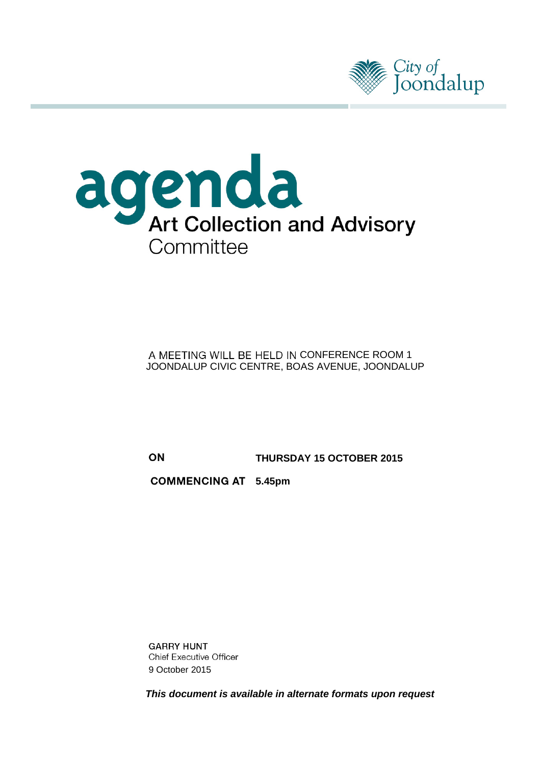



#### A MEETING WILL BE HELD IN CONFERENCE ROOM 1 JOONDALUP CIVIC CENTRE, BOAS AVENUE, JOONDALUP

ON

**THURSDAY 15 OCTOBER 2015**

**5.45pm**

**GARRY HUNT Chief Executive Officer** 9 October 2015

*This document is available in alternate formats upon request*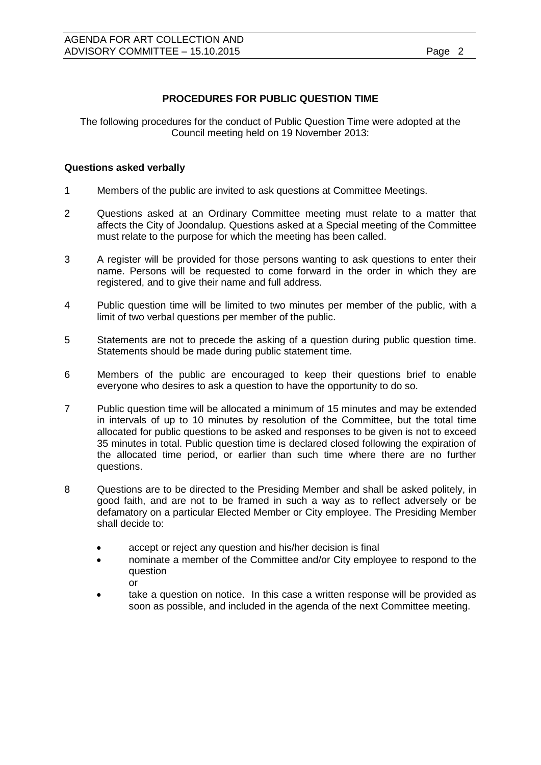## **PROCEDURES FOR PUBLIC QUESTION TIME**

The following procedures for the conduct of Public Question Time were adopted at the Council meeting held on 19 November 2013:

#### **Questions asked verbally**

- 1 Members of the public are invited to ask questions at Committee Meetings.
- 2 Questions asked at an Ordinary Committee meeting must relate to a matter that affects the City of Joondalup. Questions asked at a Special meeting of the Committee must relate to the purpose for which the meeting has been called.
- 3 A register will be provided for those persons wanting to ask questions to enter their name. Persons will be requested to come forward in the order in which they are registered, and to give their name and full address.
- 4 Public question time will be limited to two minutes per member of the public, with a limit of two verbal questions per member of the public.
- 5 Statements are not to precede the asking of a question during public question time. Statements should be made during public statement time.
- 6 Members of the public are encouraged to keep their questions brief to enable everyone who desires to ask a question to have the opportunity to do so.
- 7 Public question time will be allocated a minimum of 15 minutes and may be extended in intervals of up to 10 minutes by resolution of the Committee, but the total time allocated for public questions to be asked and responses to be given is not to exceed 35 minutes in total. Public question time is declared closed following the expiration of the allocated time period, or earlier than such time where there are no further questions.
- 8 Questions are to be directed to the Presiding Member and shall be asked politely, in good faith, and are not to be framed in such a way as to reflect adversely or be defamatory on a particular Elected Member or City employee. The Presiding Member shall decide to:
	- accept or reject any question and his/her decision is final
	- nominate a member of the Committee and/or City employee to respond to the question or
	- take a question on notice. In this case a written response will be provided as soon as possible, and included in the agenda of the next Committee meeting.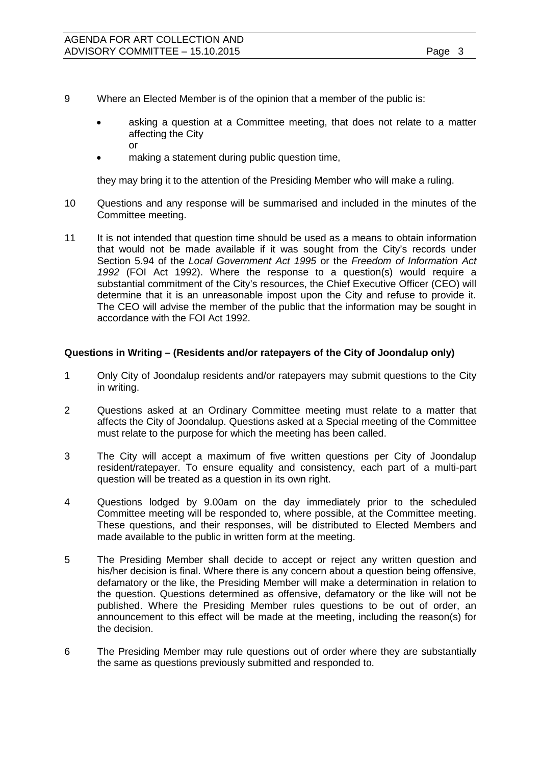- 9 Where an Elected Member is of the opinion that a member of the public is:
	- asking a question at a Committee meeting, that does not relate to a matter affecting the City or
	- making a statement during public question time,

they may bring it to the attention of the Presiding Member who will make a ruling.

- 10 Questions and any response will be summarised and included in the minutes of the Committee meeting.
- 11 It is not intended that question time should be used as a means to obtain information that would not be made available if it was sought from the City's records under Section 5.94 of the *Local Government Act 1995* or the *Freedom of Information Act 1992* (FOI Act 1992). Where the response to a question(s) would require a substantial commitment of the City's resources, the Chief Executive Officer (CEO) will determine that it is an unreasonable impost upon the City and refuse to provide it. The CEO will advise the member of the public that the information may be sought in accordance with the FOI Act 1992.

#### **Questions in Writing – (Residents and/or ratepayers of the City of Joondalup only)**

- 1 Only City of Joondalup residents and/or ratepayers may submit questions to the City in writing.
- 2 Questions asked at an Ordinary Committee meeting must relate to a matter that affects the City of Joondalup. Questions asked at a Special meeting of the Committee must relate to the purpose for which the meeting has been called.
- 3 The City will accept a maximum of five written questions per City of Joondalup resident/ratepayer. To ensure equality and consistency, each part of a multi-part question will be treated as a question in its own right.
- 4 Questions lodged by 9.00am on the day immediately prior to the scheduled Committee meeting will be responded to, where possible, at the Committee meeting. These questions, and their responses, will be distributed to Elected Members and made available to the public in written form at the meeting.
- 5 The Presiding Member shall decide to accept or reject any written question and his/her decision is final. Where there is any concern about a question being offensive, defamatory or the like, the Presiding Member will make a determination in relation to the question. Questions determined as offensive, defamatory or the like will not be published. Where the Presiding Member rules questions to be out of order, an announcement to this effect will be made at the meeting, including the reason(s) for the decision.
- 6 The Presiding Member may rule questions out of order where they are substantially the same as questions previously submitted and responded to.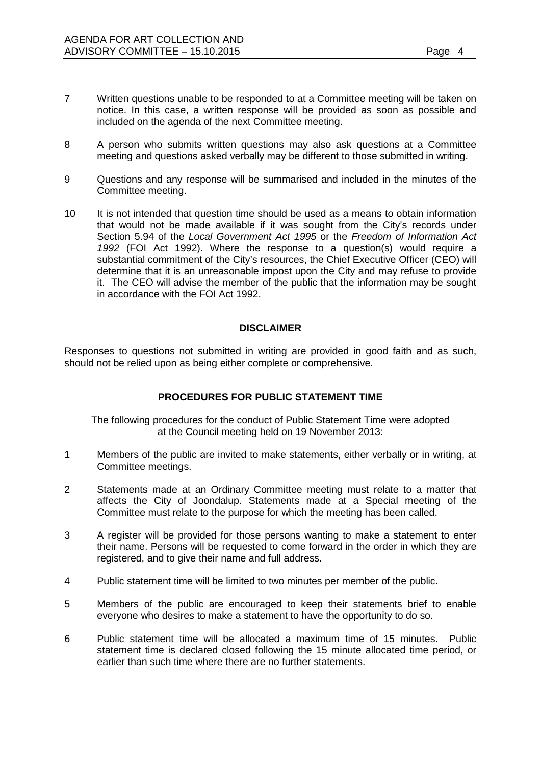- 7 Written questions unable to be responded to at a Committee meeting will be taken on notice. In this case, a written response will be provided as soon as possible and included on the agenda of the next Committee meeting.
- 8 A person who submits written questions may also ask questions at a Committee meeting and questions asked verbally may be different to those submitted in writing.
- 9 Questions and any response will be summarised and included in the minutes of the Committee meeting.
- 10 It is not intended that question time should be used as a means to obtain information that would not be made available if it was sought from the City's records under Section 5.94 of the *Local Government Act 1995* or the *Freedom of Information Act 1992* (FOI Act 1992). Where the response to a question(s) would require a substantial commitment of the City's resources, the Chief Executive Officer (CEO) will determine that it is an unreasonable impost upon the City and may refuse to provide it. The CEO will advise the member of the public that the information may be sought in accordance with the FOI Act 1992.

#### **DISCLAIMER**

Responses to questions not submitted in writing are provided in good faith and as such, should not be relied upon as being either complete or comprehensive.

#### **PROCEDURES FOR PUBLIC STATEMENT TIME**

The following procedures for the conduct of Public Statement Time were adopted at the Council meeting held on 19 November 2013:

- 1 Members of the public are invited to make statements, either verbally or in writing, at Committee meetings.
- 2 Statements made at an Ordinary Committee meeting must relate to a matter that affects the City of Joondalup. Statements made at a Special meeting of the Committee must relate to the purpose for which the meeting has been called.
- 3 A register will be provided for those persons wanting to make a statement to enter their name. Persons will be requested to come forward in the order in which they are registered, and to give their name and full address.
- 4 Public statement time will be limited to two minutes per member of the public.
- 5 Members of the public are encouraged to keep their statements brief to enable everyone who desires to make a statement to have the opportunity to do so.
- 6 Public statement time will be allocated a maximum time of 15 minutes. Public statement time is declared closed following the 15 minute allocated time period, or earlier than such time where there are no further statements.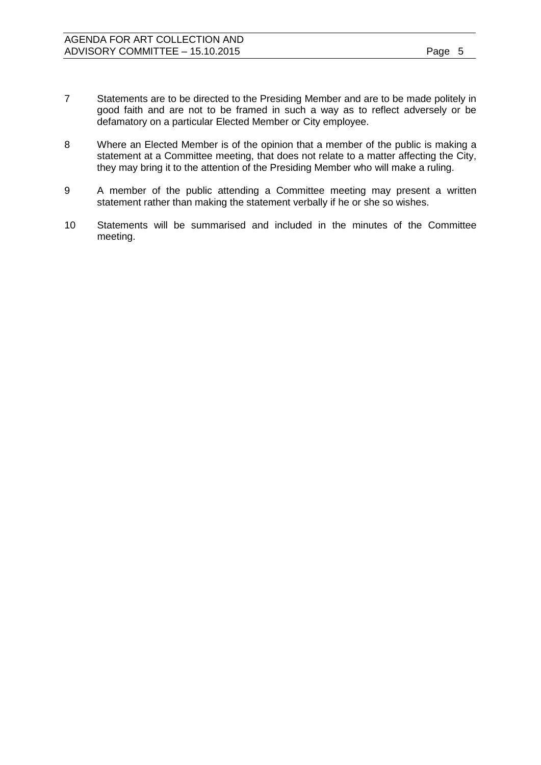- 7 Statements are to be directed to the Presiding Member and are to be made politely in good faith and are not to be framed in such a way as to reflect adversely or be defamatory on a particular Elected Member or City employee.
- 8 Where an Elected Member is of the opinion that a member of the public is making a statement at a Committee meeting, that does not relate to a matter affecting the City, they may bring it to the attention of the Presiding Member who will make a ruling.
- 9 A member of the public attending a Committee meeting may present a written statement rather than making the statement verbally if he or she so wishes.
- 10 Statements will be summarised and included in the minutes of the Committee meeting.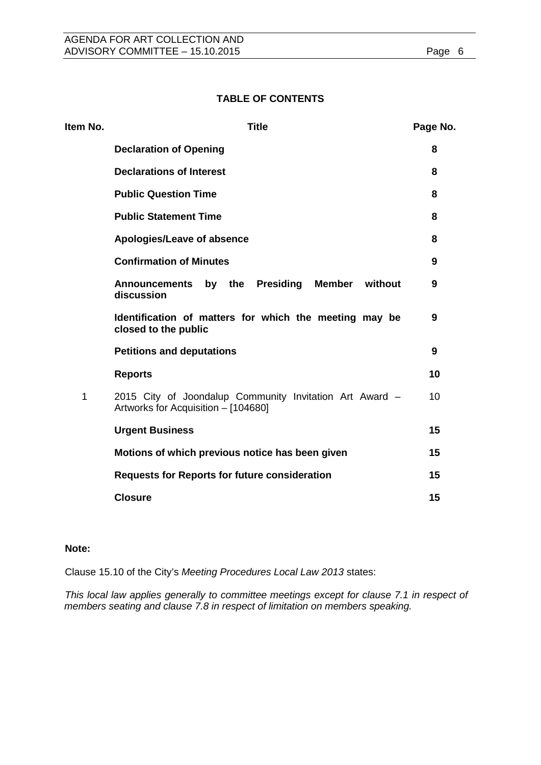### **TABLE OF CONTENTS**

| Item No. | <b>Title</b>                                                                                   | Page No. |
|----------|------------------------------------------------------------------------------------------------|----------|
|          | <b>Declaration of Opening</b>                                                                  | 8        |
|          | <b>Declarations of Interest</b>                                                                | 8        |
|          | <b>Public Question Time</b>                                                                    | 8        |
|          | <b>Public Statement Time</b>                                                                   | 8        |
|          | Apologies/Leave of absence                                                                     | 8        |
|          | <b>Confirmation of Minutes</b>                                                                 | 9        |
|          | <b>Presiding</b><br>Member<br>without<br><b>Announcements</b><br>by the<br>discussion          | 9        |
|          | Identification of matters for which the meeting may be<br>closed to the public                 | 9        |
|          | <b>Petitions and deputations</b>                                                               | 9        |
|          | <b>Reports</b>                                                                                 | 10       |
| 1        | 2015 City of Joondalup Community Invitation Art Award -<br>Artworks for Acquisition - [104680] | 10       |
|          | <b>Urgent Business</b>                                                                         | 15       |
|          | Motions of which previous notice has been given                                                | 15       |
|          | <b>Requests for Reports for future consideration</b>                                           | 15       |
|          | <b>Closure</b>                                                                                 | 15       |

#### **Note:**

Clause 15.10 of the City's *Meeting Procedures Local Law 2013* states:

*This local law applies generally to committee meetings except for clause 7.1 in respect of members seating and clause 7.8 in respect of limitation on members speaking.*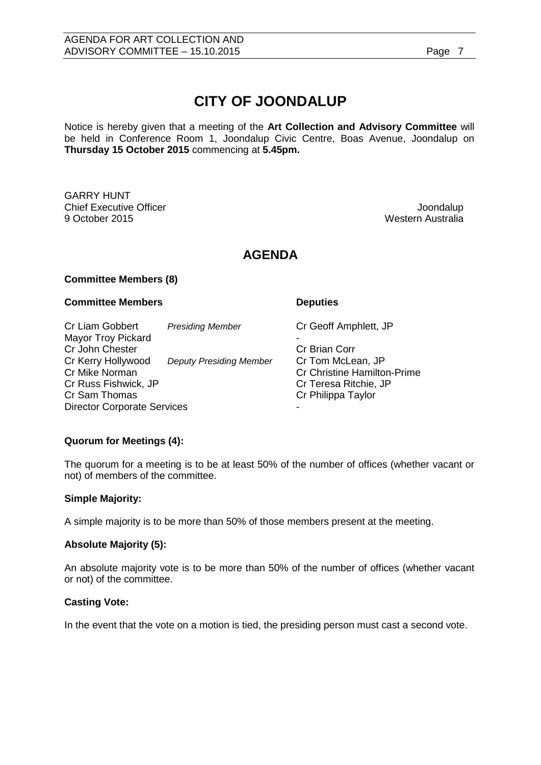# **CITY OF JOONDALUP**

Notice is hereby given that a meeting of the **Art Collection and Advisory Committee** will be held in Conference Room 1, Joondalup Civic Centre, Boas Avenue, Joondalup on **Thursday 15 October 2015** commencing at **5.45pm.**

GARRY HUNT Chief Executive Officer and the Chief Executive Officer and the Chief Executive Officer and the Chief Executive<br>Chief Executive Officer and the Chief Executive Officer and the Chief Executive Officer and the Chief Executiv

Western Australia

## **AGENDA**

#### **Committee Members (8)**

#### **Committee Members Deputies**

Cr Liam Gobbert *Presiding Member* Cr Geoff Amphlett, JP Mayor Troy Pickard Cr John Chester Cr John Chester<br>Cr Kerry Hollywood Deputy Presiding Member Cr Tom McLean, JP Cr Kerry Hollywood *Deputy Presiding Member*<br>Cr Mike Norman Cr Mike Norman Cr Christine Hamilton-Prime<br>
Cr Christine Hamilton-Prime<br>
Cr Cr Christine Hamilton-Prime Cr Russ Fishwick, JP Cr Teresa Ritchie, JP Director Corporate Services

Cr Philippa Taylor

#### **Quorum for Meetings (4):**

The quorum for a meeting is to be at least 50% of the number of offices (whether vacant or not) of members of the committee.

#### **Simple Majority:**

A simple majority is to be more than 50% of those members present at the meeting.

#### **Absolute Majority (5):**

An absolute majority vote is to be more than 50% of the number of offices (whether vacant or not) of the committee.

#### **Casting Vote:**

In the event that the vote on a motion is tied, the presiding person must cast a second vote.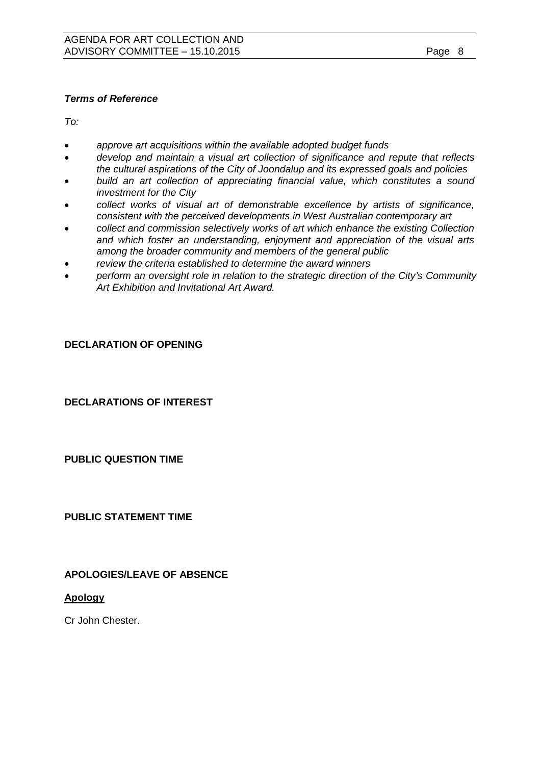### *Terms of Reference*

*To:*

- *approve art acquisitions within the available adopted budget funds*
- *develop and maintain a visual art collection of significance and repute that reflects the cultural aspirations of the City of Joondalup and its expressed goals and policies*
- *build an art collection of appreciating financial value, which constitutes a sound investment for the City*
- *collect works of visual art of demonstrable excellence by artists of significance, consistent with the perceived developments in West Australian contemporary art*
- *collect and commission selectively works of art which enhance the existing Collection and which foster an understanding, enjoyment and appreciation of the visual arts among the broader community and members of the general public*
- *review the criteria established to determine the award winners*
- *perform an oversight role in relation to the strategic direction of the City's Community Art Exhibition and Invitational Art Award.*

#### <span id="page-7-0"></span>**DECLARATION OF OPENING**

#### <span id="page-7-1"></span>**DECLARATIONS OF INTEREST**

#### <span id="page-7-2"></span>**PUBLIC QUESTION TIME**

#### <span id="page-7-3"></span>**PUBLIC STATEMENT TIME**

#### <span id="page-7-4"></span>**APOLOGIES/LEAVE OF ABSENCE**

#### **Apology**

Cr John Chester.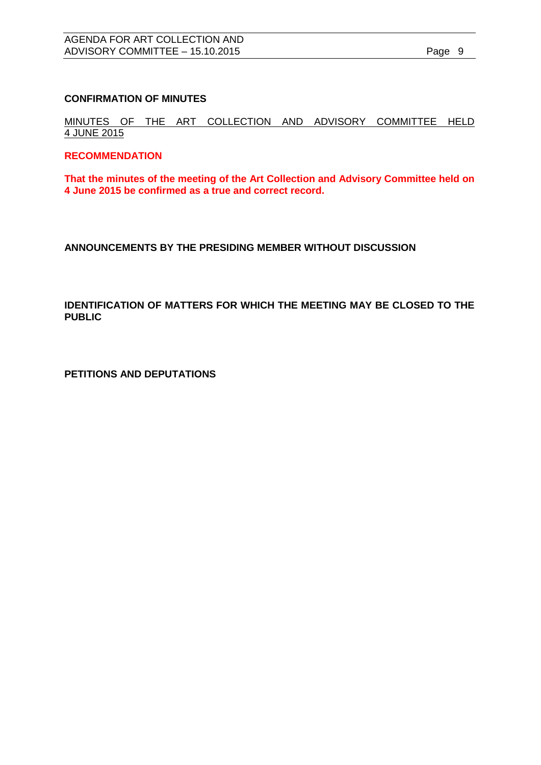#### <span id="page-8-0"></span>**CONFIRMATION OF MINUTES**

MINUTES OF THE ART COLLECTION AND ADVISORY COMMITTEE HELD 4 JUNE 2015

#### **RECOMMENDATION**

**That the minutes of the meeting of the Art Collection and Advisory Committee held on 4 June 2015 be confirmed as a true and correct record.**

<span id="page-8-1"></span>**ANNOUNCEMENTS BY THE PRESIDING MEMBER WITHOUT DISCUSSION**

<span id="page-8-2"></span>**IDENTIFICATION OF MATTERS FOR WHICH THE MEETING MAY BE CLOSED TO THE PUBLIC**

<span id="page-8-3"></span>**PETITIONS AND DEPUTATIONS**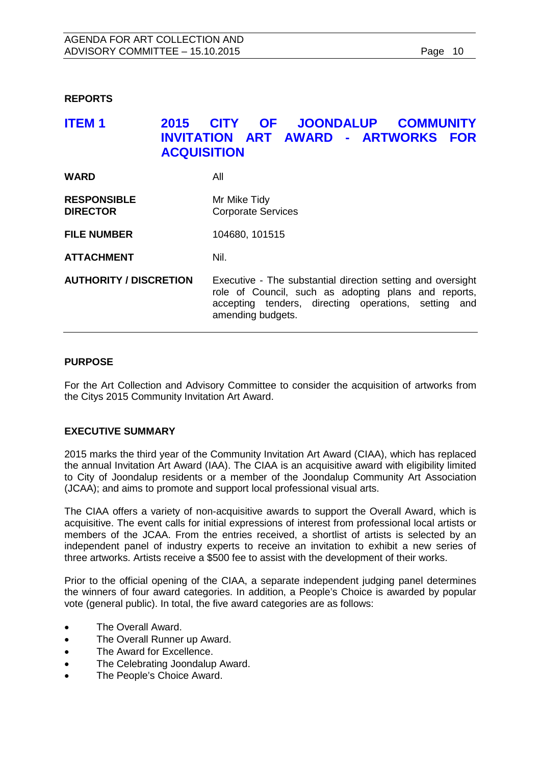#### <span id="page-9-0"></span>**REPORTS**

## <span id="page-9-1"></span>**ITEM 1 2015 CITY OF JOONDALUP COMMUNITY INVITATION ART AWARD - ARTWORKS FOR ACQUISITION**

| <b>WARD</b>                           | All                                                                                                                                                                                              |
|---------------------------------------|--------------------------------------------------------------------------------------------------------------------------------------------------------------------------------------------------|
| <b>RESPONSIBLE</b><br><b>DIRECTOR</b> | Mr Mike Tidy<br><b>Corporate Services</b>                                                                                                                                                        |
| <b>FILE NUMBER</b>                    | 104680, 101515                                                                                                                                                                                   |
| <b>ATTACHMENT</b>                     | Nil.                                                                                                                                                                                             |
| <b>AUTHORITY / DISCRETION</b>         | Executive - The substantial direction setting and oversight<br>role of Council, such as adopting plans and reports,<br>accepting tenders, directing operations, setting and<br>amending budgets. |

#### **PURPOSE**

For the Art Collection and Advisory Committee to consider the acquisition of artworks from the Citys 2015 Community Invitation Art Award.

#### **EXECUTIVE SUMMARY**

2015 marks the third year of the Community Invitation Art Award (CIAA), which has replaced the annual Invitation Art Award (IAA). The CIAA is an acquisitive award with eligibility limited to City of Joondalup residents or a member of the Joondalup Community Art Association (JCAA); and aims to promote and support local professional visual arts.

The CIAA offers a variety of non-acquisitive awards to support the Overall Award, which is acquisitive. The event calls for initial expressions of interest from professional local artists or members of the JCAA. From the entries received, a shortlist of artists is selected by an independent panel of industry experts to receive an invitation to exhibit a new series of three artworks. Artists receive a \$500 fee to assist with the development of their works.

Prior to the official opening of the CIAA, a separate independent judging panel determines the winners of four award categories. In addition, a People's Choice is awarded by popular vote (general public). In total, the five award categories are as follows:

- The Overall Award.
- The Overall Runner up Award.
- The Award for Excellence.
- The Celebrating Joondalup Award.
- The People's Choice Award.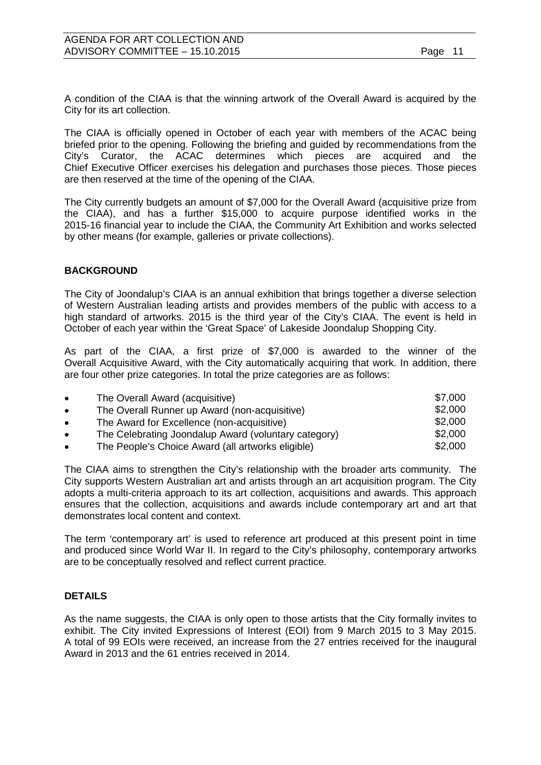A condition of the CIAA is that the winning artwork of the Overall Award is acquired by the City for its art collection.

The CIAA is officially opened in October of each year with members of the ACAC being briefed prior to the opening. Following the briefing and guided by recommendations from the City's Curator, the ACAC determines which pieces are acquired and the Chief Executive Officer exercises his delegation and purchases those pieces. Those pieces are then reserved at the time of the opening of the CIAA.

The City currently budgets an amount of \$7,000 for the Overall Award (acquisitive prize from the CIAA), and has a further \$15,000 to acquire purpose identified works in the 2015-16 financial year to include the CIAA, the Community Art Exhibition and works selected by other means (for example, galleries or private collections).

#### **BACKGROUND**

The City of Joondalup's CIAA is an annual exhibition that brings together a diverse selection of Western Australian leading artists and provides members of the public with access to a high standard of artworks. 2015 is the third year of the City's CIAA. The event is held in October of each year within the 'Great Space' of Lakeside Joondalup Shopping City.

As part of the CIAA, a first prize of \$7,000 is awarded to the winner of the Overall Acquisitive Award, with the City automatically acquiring that work. In addition, there are four other prize categories. In total the prize categories are as follows:

| $\bullet$ | The Overall Award (acquisitive)                      | \$7,000 |
|-----------|------------------------------------------------------|---------|
| $\bullet$ | The Overall Runner up Award (non-acquisitive)        | \$2,000 |
| $\bullet$ | The Award for Excellence (non-acquisitive)           | \$2,000 |
| $\bullet$ | The Celebrating Joondalup Award (voluntary category) | \$2,000 |
| $\bullet$ | The People's Choice Award (all artworks eligible)    | \$2,000 |

The CIAA aims to strengthen the City's relationship with the broader arts community. The City supports Western Australian art and artists through an art acquisition program. The City adopts a multi-criteria approach to its art collection, acquisitions and awards. This approach ensures that the collection, acquisitions and awards include contemporary art and art that demonstrates local content and context.

The term 'contemporary art' is used to reference art produced at this present point in time and produced since World War II. In regard to the City's philosophy, contemporary artworks are to be conceptually resolved and reflect current practice.

#### **DETAILS**

As the name suggests, the CIAA is only open to those artists that the City formally invites to exhibit. The City invited Expressions of Interest (EOI) from 9 March 2015 to 3 May 2015. A total of 99 EOIs were received, an increase from the 27 entries received for the inaugural Award in 2013 and the 61 entries received in 2014.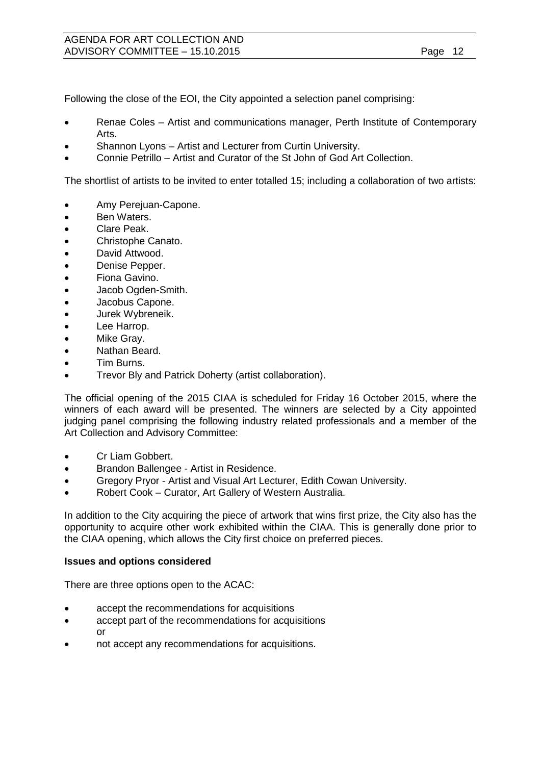Following the close of the EOI, the City appointed a selection panel comprising:

- Renae Coles Artist and communications manager, Perth Institute of Contemporary Arts.
- Shannon Lyons Artist and Lecturer from Curtin University.
- Connie Petrillo Artist and Curator of the St John of God Art Collection.

The shortlist of artists to be invited to enter totalled 15; including a collaboration of two artists:

- Amy Perejuan-Capone.
- Ben Waters.
- Clare Peak.
- Christophe Canato.
- David Attwood.
- Denise Pepper.
- Fiona Gavino.
- Jacob Ogden-Smith.
- Jacobus Capone.
- Jurek Wybreneik.
- Lee Harrop.
- Mike Gray.
- Nathan Beard.
- Tim Burns.
- Trevor Bly and Patrick Doherty (artist collaboration).

The official opening of the 2015 CIAA is scheduled for Friday 16 October 2015, where the winners of each award will be presented. The winners are selected by a City appointed judging panel comprising the following industry related professionals and a member of the Art Collection and Advisory Committee:

- Cr Liam Gobbert.
- Brandon Ballengee Artist in Residence.
- Gregory Pryor Artist and Visual Art Lecturer, Edith Cowan University.
- Robert Cook Curator, Art Gallery of Western Australia.

In addition to the City acquiring the piece of artwork that wins first prize, the City also has the opportunity to acquire other work exhibited within the CIAA. This is generally done prior to the CIAA opening, which allows the City first choice on preferred pieces.

#### **Issues and options considered**

There are three options open to the ACAC:

- accept the recommendations for acquisitions
- accept part of the recommendations for acquisitions or
- not accept any recommendations for acquisitions.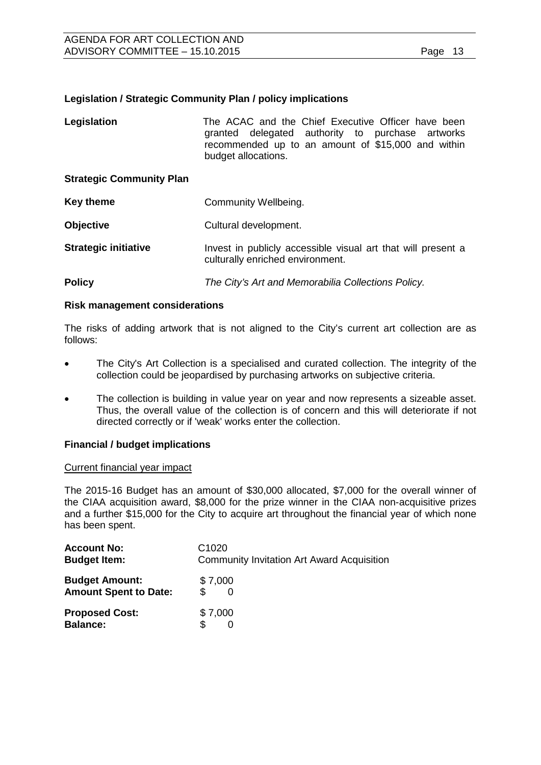#### **Legislation / Strategic Community Plan / policy implications**

| Legislation                     | The ACAC and the Chief Executive Officer have been<br>granted delegated authority to purchase artworks<br>recommended up to an amount of \$15,000 and within<br>budget allocations. |  |
|---------------------------------|-------------------------------------------------------------------------------------------------------------------------------------------------------------------------------------|--|
| <b>Strategic Community Plan</b> |                                                                                                                                                                                     |  |
| <b>Key theme</b>                | Community Wellbeing.                                                                                                                                                                |  |
| <b>Objective</b>                | Cultural development.                                                                                                                                                               |  |
| <b>Strategic initiative</b>     | Invest in publicly accessible visual art that will present a<br>culturally enriched environment.                                                                                    |  |
|                                 |                                                                                                                                                                                     |  |

## **Policy** *The City's Art and Memorabilia Collections Policy.*

#### **Risk management considerations**

The risks of adding artwork that is not aligned to the City's current art collection are as follows:

- The City's Art Collection is a specialised and curated collection. The integrity of the collection could be jeopardised by purchasing artworks on subjective criteria.
- The collection is building in value year on year and now represents a sizeable asset. Thus, the overall value of the collection is of concern and this will deteriorate if not directed correctly or if 'weak' works enter the collection.

#### **Financial / budget implications**

#### Current financial year impact

The 2015-16 Budget has an amount of \$30,000 allocated, \$7,000 for the overall winner of the CIAA acquisition award, \$8,000 for the prize winner in the CIAA non-acquisitive prizes and a further \$15,000 for the City to acquire art throughout the financial year of which none has been spent.

| <b>Account No:</b>                       | C <sub>1020</sub>                                 |
|------------------------------------------|---------------------------------------------------|
| <b>Budget Item:</b>                      | <b>Community Invitation Art Award Acquisition</b> |
| <b>Budget Amount:</b>                    | \$7,000                                           |
| <b>Amount Spent to Date:</b>             | \$                                                |
| <b>Proposed Cost:</b><br><b>Balance:</b> | \$7,000                                           |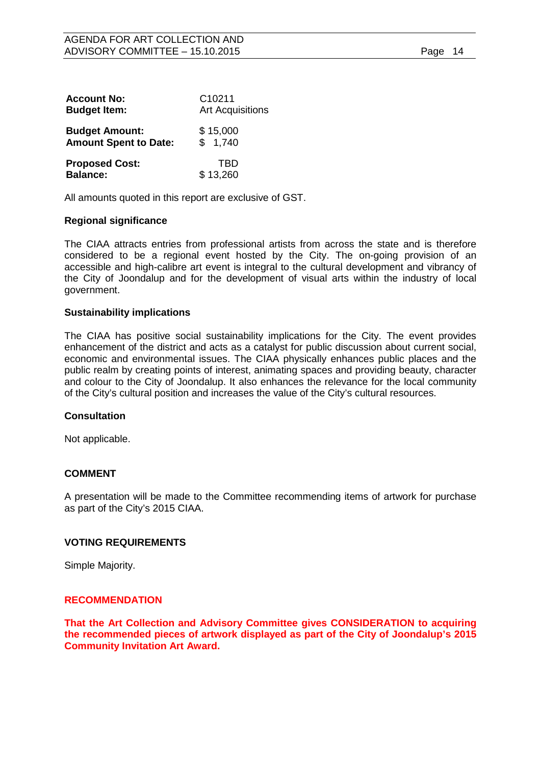| <b>Account No:</b>           | C <sub>10211</sub>      |
|------------------------------|-------------------------|
| <b>Budget Item:</b>          | <b>Art Acquisitions</b> |
| <b>Budget Amount:</b>        | \$15,000                |
| <b>Amount Spent to Date:</b> | \$1,740                 |
| <b>Proposed Cost:</b>        | TBD                     |
| <b>Balance:</b>              | \$13,260                |

All amounts quoted in this report are exclusive of GST.

#### **Regional significance**

The CIAA attracts entries from professional artists from across the state and is therefore considered to be a regional event hosted by the City. The on-going provision of an accessible and high-calibre art event is integral to the cultural development and vibrancy of the City of Joondalup and for the development of visual arts within the industry of local government.

#### **Sustainability implications**

The CIAA has positive social sustainability implications for the City. The event provides enhancement of the district and acts as a catalyst for public discussion about current social, economic and environmental issues. The CIAA physically enhances public places and the public realm by creating points of interest, animating spaces and providing beauty, character and colour to the City of Joondalup. It also enhances the relevance for the local community of the City's cultural position and increases the value of the City's cultural resources.

#### **Consultation**

Not applicable.

#### **COMMENT**

A presentation will be made to the Committee recommending items of artwork for purchase as part of the City's 2015 CIAA.

#### **VOTING REQUIREMENTS**

Simple Majority.

#### **RECOMMENDATION**

**That the Art Collection and Advisory Committee gives CONSIDERATION to acquiring the recommended pieces of artwork displayed as part of the City of Joondalup's 2015 Community Invitation Art Award.**